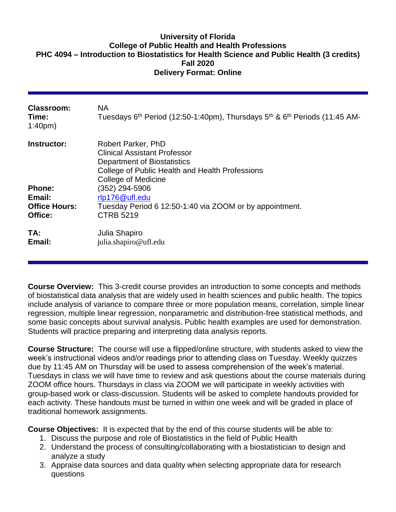### **University of Florida College of Public Health and Health Professions PHC 4094 – Introduction to Biostatistics for Health Science and Public Health (3 credits) Fall 2020 Delivery Format: Online**

| Classroom:<br>Time:<br>1:40 <sub>pm</sub>       | NA.<br>Tuesdays 6 <sup>th</sup> Period (12:50-1:40pm), Thursdays 5 <sup>th</sup> & 6 <sup>th</sup> Periods (11:45 AM-                                                     |
|-------------------------------------------------|---------------------------------------------------------------------------------------------------------------------------------------------------------------------------|
| Instructor:                                     | Robert Parker, PhD<br><b>Clinical Assistant Professor</b><br><b>Department of Biostatistics</b><br>College of Public Health and Health Professions<br>College of Medicine |
| <b>Phone:</b><br>Email:<br><b>Office Hours:</b> | (352) 294-5906<br>rlp176@ufl.edu<br>Tuesday Period 6 12:50-1:40 via ZOOM or by appointment.                                                                               |
| Office:                                         | <b>CTRB 5219</b>                                                                                                                                                          |
| TA:<br>Email:                                   | Julia Shapiro<br>julia.shapiro@ufl.edu                                                                                                                                    |

**Course Overview:** This 3-credit course provides an introduction to some concepts and methods of biostatistical data analysis that are widely used in health sciences and public health. The topics include analysis of variance to compare three or more population means, correlation, simple linear regression, multiple linear regression, nonparametric and distribution-free statistical methods, and some basic concepts about survival analysis. Public health examples are used for demonstration. Students will practice preparing and interpreting data analysis reports.

**Course Structure:** The course will use a flipped/online structure, with students asked to view the week's instructional videos and/or readings prior to attending class on Tuesday. Weekly quizzes due by 11:45 AM on Thursday will be used to assess comprehension of the week's material. Tuesdays in class we will have time to review and ask questions about the course materials during ZOOM office hours. Thursdays in class via ZOOM we will participate in weekly activities with group-based work or class-discussion. Students will be asked to complete handouts provided for each activity. These handouts must be turned in within one week and will be graded in place of traditional homework assignments.

**Course Objectives:** It is expected that by the end of this course students will be able to:

- 1. Discuss the purpose and role of Biostatistics in the field of Public Health
- 2. Understand the process of consulting/collaborating with a biostatistician to design and analyze a study
- 3. Appraise data sources and data quality when selecting appropriate data for research questions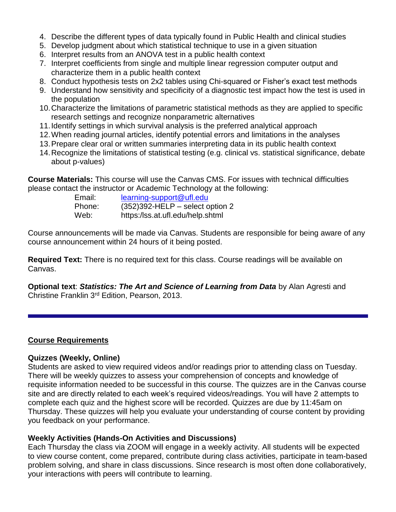- 4. Describe the different types of data typically found in Public Health and clinical studies
- 5. Develop judgment about which statistical technique to use in a given situation
- 6. Interpret results from an ANOVA test in a public health context
- 7. Interpret coefficients from single and multiple linear regression computer output and characterize them in a public health context
- 8. Conduct hypothesis tests on 2x2 tables using Chi-squared or Fisher's exact test methods
- 9. Understand how sensitivity and specificity of a diagnostic test impact how the test is used in the population
- 10.Characterize the limitations of parametric statistical methods as they are applied to specific research settings and recognize nonparametric alternatives
- 11.Identify settings in which survival analysis is the preferred analytical approach
- 12.When reading journal articles, identify potential errors and limitations in the analyses
- 13.Prepare clear oral or written summaries interpreting data in its public health context
- 14.Recognize the limitations of statistical testing (e.g. clinical vs. statistical significance, debate about p-values)

**Course Materials:** This course will use the Canvas CMS. For issues with technical difficulties please contact the instructor or Academic Technology at the following:

| Email: | learning-support@ufl.edu           |
|--------|------------------------------------|
| Phone: | $(352)392$ -HELP – select option 2 |
| Web:   | https:/lss.at.ufl.edu/help.shtml   |

Course announcements will be made via Canvas. Students are responsible for being aware of any course announcement within 24 hours of it being posted.

**Required Text:** There is no required text for this class. Course readings will be available on Canvas.

**Optional text**: *Statistics: The Art and Science of Learning from Data* by Alan Agresti and Christine Franklin 3rd Edition, Pearson, 2013.

#### **Course Requirements**

#### **Quizzes (Weekly, Online)**

Students are asked to view required videos and/or readings prior to attending class on Tuesday. There will be weekly quizzes to assess your comprehension of concepts and knowledge of requisite information needed to be successful in this course. The quizzes are in the Canvas course site and are directly related to each week's required videos/readings. You will have 2 attempts to complete each quiz and the highest score will be recorded. Quizzes are due by 11:45am on Thursday. These quizzes will help you evaluate your understanding of course content by providing you feedback on your performance.

#### **Weekly Activities (Hands-On Activities and Discussions)**

Each Thursday the class via ZOOM will engage in a weekly activity. All students will be expected to view course content, come prepared, contribute during class activities, participate in team-based problem solving, and share in class discussions. Since research is most often done collaboratively, your interactions with peers will contribute to learning.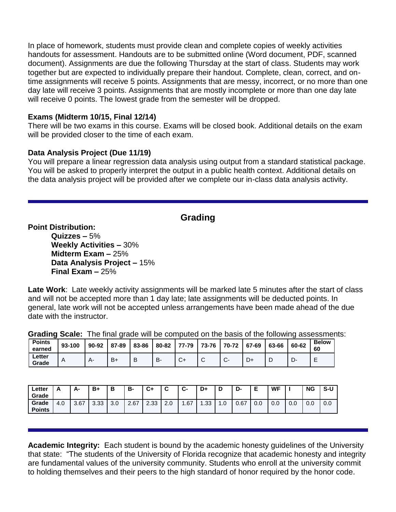In place of homework, students must provide clean and complete copies of weekly activities handouts for assessment. Handouts are to be submitted online (Word document, PDF, scanned document). Assignments are due the following Thursday at the start of class. Students may work together but are expected to individually prepare their handout. Complete, clean, correct, and ontime assignments will receive 5 points. Assignments that are messy, incorrect, or no more than one day late will receive 3 points. Assignments that are mostly incomplete or more than one day late will receive 0 points. The lowest grade from the semester will be dropped.

### **Exams (Midterm 10/15, Final 12/14)**

There will be two exams in this course. Exams will be closed book. Additional details on the exam will be provided closer to the time of each exam.

### **Data Analysis Project (Due 11/19)**

You will prepare a linear regression data analysis using output from a standard statistical package. You will be asked to properly interpret the output in a public health context. Additional details on the data analysis project will be provided after we complete our in-class data analysis activity.

# **Grading**

**Point Distribution:**

**Quizzes –** 5% **Weekly Activities –** 30% **Midterm Exam –** 25% **Data Analysis Project –** 15% **Final Exam –** 25%

**Late Work**: Late weekly activity assignments will be marked late 5 minutes after the start of class and will not be accepted more than 1 day late; late assignments will be deducted points. In general, late work will not be accepted unless arrangements have been made ahead of the due date with the instructor.

|                         |        | <b>UT AUTH OF STATE THE TELL OF AUTHORITY OF STATE AND STATED IN A SOCIOLITY OF STATE IN A SOCIOLITY OF STATE IN</b> |   |    |  |  |                                                                                     |  |  |       |              |  |
|-------------------------|--------|----------------------------------------------------------------------------------------------------------------------|---|----|--|--|-------------------------------------------------------------------------------------|--|--|-------|--------------|--|
| <b>Points</b><br>earned | 93-100 | $90-92$   87-89   83-86                                                                                              |   |    |  |  | $\vert$ 80-82 $\vert$ 77-79 $\vert$ 73-76 $\vert$ 70-72 $\vert$ 67-69 $\vert$ 63-66 |  |  | 60-62 | <b>Below</b> |  |
| Letter<br>Grade         | Α      | B+                                                                                                                   | B | B- |  |  |                                                                                     |  |  |       |              |  |

**Grading Scale:** The final grade will be computed on the basis of the following assessments:

| Letter<br>Grade        | −   | А-   | B+   | B         | в.   | C+   | ◠<br>ັ | ◠<br>v | D+  | D  | D<br>-ש |     | <b>WF</b> |     | <b>NG</b> | .Տ-Ա |
|------------------------|-----|------|------|-----------|------|------|--------|--------|-----|----|---------|-----|-----------|-----|-----------|------|
| Grade<br><b>Points</b> | 4.0 | 3.67 | 3.33 | 20<br>v.v | 2.67 | 2.33 | 2.0    | .67    | .33 | .0 | 0.67    | 0.0 | 0.0       | 0.0 | 0.0       | 0.0  |

**Academic Integrity:** Each student is bound by the academic honesty guidelines of the University that state: "The students of the University of Florida recognize that academic honesty and integrity are fundamental values of the university community. Students who enroll at the university commit to holding themselves and their peers to the high standard of honor required by the honor code.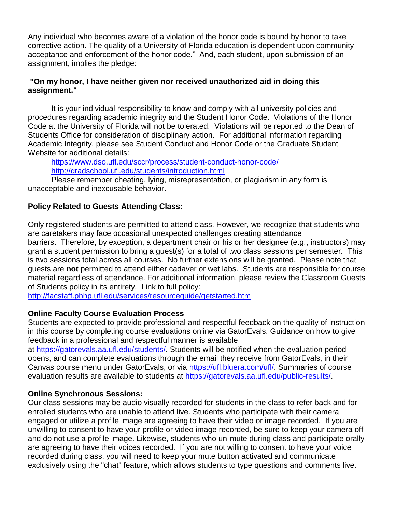Any individual who becomes aware of a violation of the honor code is bound by honor to take corrective action. The quality of a University of Florida education is dependent upon community acceptance and enforcement of the honor code." And, each student, upon submission of an assignment, implies the pledge:

### **"On my honor, I have neither given nor received unauthorized aid in doing this assignment."**

It is your individual responsibility to know and comply with all university policies and procedures regarding academic integrity and the Student Honor Code. Violations of the Honor Code at the University of Florida will not be tolerated. Violations will be reported to the Dean of Students Office for consideration of disciplinary action. For additional information regarding Academic Integrity, please see Student Conduct and Honor Code or the Graduate Student Website for additional details:

<https://www.dso.ufl.edu/sccr/process/student-conduct-honor-code/> <http://gradschool.ufl.edu/students/introduction.html>

Please remember cheating, lying, misrepresentation, or plagiarism in any form is unacceptable and inexcusable behavior.

### **Policy Related to Guests Attending Class:**

Only registered students are permitted to attend class. However, we recognize that students who are caretakers may face occasional unexpected challenges creating attendance

barriers. Therefore, by exception, a department chair or his or her designee (e.g., instructors) may grant a student permission to bring a guest(s) for a total of two class sessions per semester. This is two sessions total across all courses. No further extensions will be granted. Please note that guests are **not** permitted to attend either cadaver or wet labs. Students are responsible for course material regardless of attendance. For additional information, please review the Classroom Guests of Students policy in its entirety. Link to full policy:

<http://facstaff.phhp.ufl.edu/services/resourceguide/getstarted.htm>

### **Online Faculty Course Evaluation Process**

Students are expected to provide professional and respectful feedback on the quality of instruction in this course by completing course evaluations online via GatorEvals. Guidance on how to give feedback in a professional and respectful manner is available

at [https://gatorevals.aa.ufl.edu/students/.](https://gatorevals.aa.ufl.edu/students/) Students will be notified when the evaluation period opens, and can complete evaluations through the email they receive from GatorEvals, in their Canvas course menu under GatorEvals, or via [https://ufl.bluera.com/ufl/.](https://urldefense.proofpoint.com/v2/url?u=https-3A__ufl.bluera.com_ufl_&d=DwMFAg&c=sJ6xIWYx-zLMB3EPkvcnVg&r=y2HjEMjRMHJhfdvLrqJZlYczRsfp5e4TfQjHuc5rVHg&m=WXko6OK_Ha6T00ZVAsEaSh99qRXHOgMNFRywCoehRho&s=itVU46DDJjnIg4CW6efJOOLgPjdzsPvCghyfzJoFONs&e=) Summaries of course evaluation results are available to students at [https://gatorevals.aa.ufl.edu/public-results/.](https://gatorevals.aa.ufl.edu/public-results/)

### **Online Synchronous Sessions:**

Our class sessions may be audio visually recorded for students in the class to refer back and for enrolled students who are unable to attend live. Students who participate with their camera engaged or utilize a profile image are agreeing to have their video or image recorded. If you are unwilling to consent to have your profile or video image recorded, be sure to keep your camera off and do not use a profile image. Likewise, students who un-mute during class and participate orally are agreeing to have their voices recorded. If you are not willing to consent to have your voice recorded during class, you will need to keep your mute button activated and communicate exclusively using the "chat" feature, which allows students to type questions and comments live.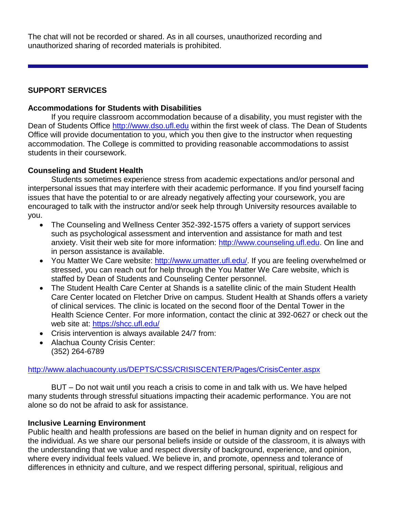The chat will not be recorded or shared. As in all courses, unauthorized recording and unauthorized sharing of recorded materials is prohibited.

### **SUPPORT SERVICES**

### **Accommodations for Students with Disabilities**

If you require classroom accommodation because of a disability, you must register with the Dean of Students Office [http://www.dso.ufl.edu](http://www.dso.ufl.edu/) within the first week of class. The Dean of Students Office will provide documentation to you, which you then give to the instructor when requesting accommodation. The College is committed to providing reasonable accommodations to assist students in their coursework.

### **Counseling and Student Health**

Students sometimes experience stress from academic expectations and/or personal and interpersonal issues that may interfere with their academic performance. If you find yourself facing issues that have the potential to or are already negatively affecting your coursework, you are encouraged to talk with the instructor and/or seek help through University resources available to you.

- The Counseling and Wellness Center 352-392-1575 offers a variety of support services such as psychological assessment and intervention and assistance for math and test anxiety. Visit their web site for more information: [http://www.counseling.ufl.edu.](http://www.counseling.ufl.edu/) On line and in person assistance is available.
- You Matter We Care website: [http://www.umatter.ufl.edu/.](http://www.umatter.ufl.edu/) If you are feeling overwhelmed or stressed, you can reach out for help through the You Matter We Care website, which is staffed by Dean of Students and Counseling Center personnel.
- The Student Health Care Center at Shands is a satellite clinic of the main Student Health Care Center located on Fletcher Drive on campus. Student Health at Shands offers a variety of clinical services. The clinic is located on the second floor of the Dental Tower in the Health Science Center. For more information, contact the clinic at 392-0627 or check out the web site at: <https://shcc.ufl.edu/>
- Crisis intervention is always available 24/7 from:
- Alachua County Crisis Center: (352) 264-6789

#### <http://www.alachuacounty.us/DEPTS/CSS/CRISISCENTER/Pages/CrisisCenter.aspx>

BUT – Do not wait until you reach a crisis to come in and talk with us. We have helped many students through stressful situations impacting their academic performance. You are not alone so do not be afraid to ask for assistance.

### **Inclusive Learning Environment**

Public health and health professions are based on the belief in human dignity and on respect for the individual. As we share our personal beliefs inside or outside of the classroom, it is always with the understanding that we value and respect diversity of background, experience, and opinion, where every individual feels valued. We believe in, and promote, openness and tolerance of differences in ethnicity and culture, and we respect differing personal, spiritual, religious and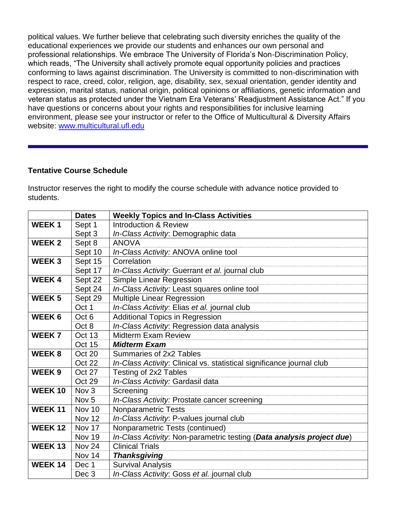political values. We further believe that celebrating such diversity enriches the quality of the educational experiences we provide our students and enhances our own personal and professional relationships. We embrace The University of Florida's Non-Discrimination Policy, which reads, "The University shall actively promote equal opportunity policies and practices conforming to laws against discrimination. The University is committed to non-discrimination with respect to race, creed, color, religion, age, disability, sex, sexual orientation, gender identity and expression, marital status, national origin, political opinions or affiliations, genetic information and veteran status as protected under the Vietnam Era Veterans' Readjustment Assistance Act." If you have questions or concerns about your rights and responsibilities for inclusive learning environment, please see your instructor or refer to the Office of Multicultural & Diversity Affairs website: [www.multicultural.ufl.edu](http://www.multicultural.ufl.edu/)

## **Tentative Course Schedule**

Instructor reserves the right to modify the course schedule with advance notice provided to students.

|               | <b>Dates</b>     | <b>Weekly Topics and In-Class Activities</b>                          |
|---------------|------------------|-----------------------------------------------------------------------|
| <b>WEEK1</b>  | Sept 1           | <b>Introduction &amp; Review</b>                                      |
|               | Sept 3           | In-Class Activity: Demographic data                                   |
| <b>WEEK2</b>  | Sept 8           | <b>ANOVA</b>                                                          |
|               | Sept 10          | In-Class Activity: ANOVA online tool                                  |
| <b>WEEK3</b>  | Sept 15          | Correlation                                                           |
|               | Sept 17          | In-Class Activity: Guerrant et al. journal club                       |
| <b>WEEK4</b>  | Sept 22          | <b>Simple Linear Regression</b>                                       |
|               | Sept 24          | In-Class Activity: Least squares online tool                          |
| <b>WEEK5</b>  | Sept 29          | <b>Multiple Linear Regression</b>                                     |
|               | Oct 1            | In-Class Activity: Elias et al. journal club                          |
| <b>WEEK6</b>  | Oct <sub>6</sub> | <b>Additional Topics in Regression</b>                                |
|               | Oct 8            | In-Class Activity: Regression data analysis                           |
| <b>WEEK7</b>  | Oct 13           | <b>Midterm Exam Review</b>                                            |
|               | Oct 15           | <b>Midterm Exam</b>                                                   |
| <b>WEEK8</b>  | Oct 20           | Summaries of 2x2 Tables                                               |
|               | Oct 22           | In-Class Activity: Clinical vs. statistical significance journal club |
| <b>WEEK9</b>  | <b>Oct 27</b>    | Testing of 2x2 Tables                                                 |
|               | Oct 29           | In-Class Activity: Gardasil data                                      |
| <b>WEEK10</b> | Nov <sub>3</sub> | Screening                                                             |
|               | Nov <sub>5</sub> | In-Class Activity: Prostate cancer screening                          |
| <b>WEEK11</b> | Nov 10           | <b>Nonparametric Tests</b>                                            |
|               | Nov 12           | In-Class Activity: P-values journal club                              |
| <b>WEEK12</b> | <b>Nov 17</b>    | Nonparametric Tests (continued)                                       |
|               | Nov 19           | In-Class Activity: Non-parametric testing (Data analysis project due) |
| <b>WEEK13</b> | Nov 24           | <b>Clinical Trials</b>                                                |
|               | Nov 14           | <b>Thanksgiving</b>                                                   |
| <b>WEEK14</b> | Dec 1            | <b>Survival Analysis</b>                                              |
|               | Dec <sub>3</sub> | In-Class Activity: Goss et al. journal club                           |